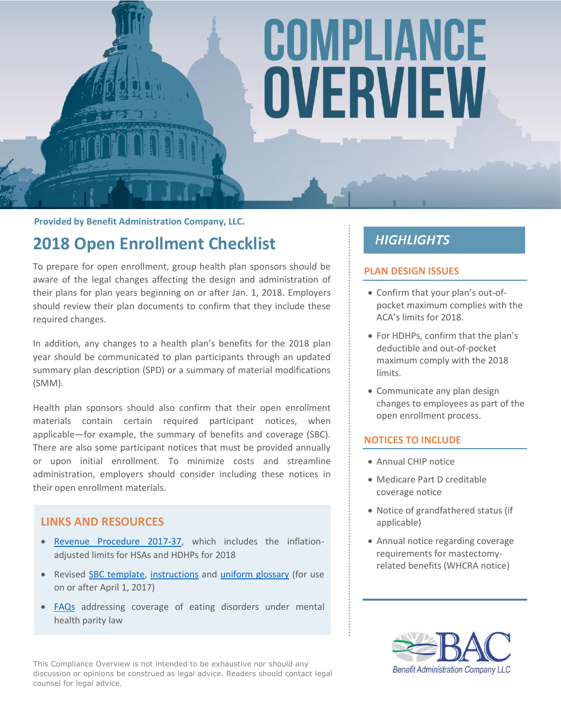# COMPLIANCE OVERVIEW

**Provided by Benefit Administration Company, LLC.**

## **2018 Open Enrollment Checklist**

To prepare for open enrollment, group health plan sponsors should be aware of the legal changes affecting the design and administration of their plans for plan years beginning on or after Jan. 1, 2018. Employers should review their plan documents to confirm that they include these required changes.

In addition, any changes to a health plan's benefits for the 2018 plan year should be communicated to plan participants through an updated summary plan description (SPD) or a summary of material modifications (SMM).

Health plan sponsors should also confirm that their open enrollment materials contain certain required participant notices, when applicable—for example, the summary of benefits and coverage (SBC). There are also some participant notices that must be provided annually or upon initial enrollment. To minimize costs and streamline administration, employers should consider including these notices in their open enrollment materials.

#### **LINKS AND RESOURCES**

- [Revenue Procedure 2017-37,](https://www.irs.gov/pub/irs-drop/rp-17-37.pdf) which includes the inflationadjusted limits for HSAs and HDHPs for 2018
- Revised [SBC template,](http://www.dol.gov/ebsa/pdf/sbc-template-final.pdf) [instructions](http://www.dol.gov/ebsa/pdf/SBC-Instructions-Group-final.pdf) and [uniform glossary](http://www.dol.gov/ebsa/pdf/SBC-Uniform-Glossary-final.pdf) (for use on or after April 1, 2017)
- [FAQs](https://www.dol.gov/sites/default/files/ebsa/about-ebsa/our-activities/resource-center/faqs/aca-part-38.pdf) addressing coverage of eating disorders under mental health parity law

This Compliance Overview is not intended to be exhaustive nor should any discussion or opinions be construed as legal advice. Readers should contact legal counsel for legal advice.

### **HIGHLIGHTS**

#### **PLAN DESIGN ISSUES**

- Confirm that your plan's out-ofpocket maximum complies with the ACA's limits for 2018.
- For HDHPs, confirm that the plan's deductible and out-of-pocket maximum comply with the 2018 limits.
- Communicate any plan design changes to employees as part of the open enrollment process.

#### **NOTICES TO INCLUDE**

- Annual CHIP notice
- Medicare Part D creditable coverage notice
- Notice of grandfathered status (if applicable)
- Annual notice regarding coverage requirements for mastectomyrelated benefits (WHCRA notice)

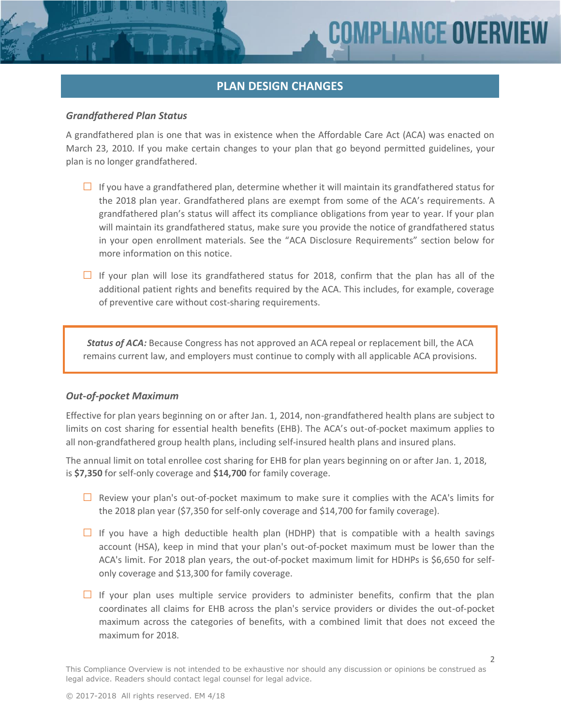#### **PLAN DESIGN CHANGES**

#### *Grandfathered Plan Status*

A grandfathered plan is one that was in existence when the Affordable Care Act (ACA) was enacted on March 23, 2010. If you make certain changes to your plan that go beyond permitted guidelines, your plan is no longer grandfathered.

- $\Box$  If you have a grandfathered plan, determine whether it will maintain its grandfathered status for the 2018 plan year. Grandfathered plans are exempt from some of the ACA's requirements. A grandfathered plan's status will affect its compliance obligations from year to year. If your plan will maintain its grandfathered status, make sure you provide the notice of grandfathered status in your open enrollment materials. See the "ACA Disclosure Requirements" section below for more information on this notice.
- **□** If your plan will lose its grandfathered status for 2018, confirm that the plan has all of the additional patient rights and benefits required by the ACA. This includes, for example, coverage of preventive care without cost-sharing requirements.

*Status of ACA:* Because Congress has not approved an ACA repeal or replacement bill, the ACA remains current law, and employers must continue to comply with all applicable ACA provisions.

#### *Out-of-pocket Maximum*

Effective for plan years beginning on or after Jan. 1, 2014, non-grandfathered health plans are subject to limits on cost sharing for essential health benefits (EHB). The ACA's out-of-pocket maximum applies to all non-grandfathered group health plans, including self-insured health plans and insured plans.

The annual limit on total enrollee cost sharing for EHB for plan years beginning on or after Jan. 1, 2018, is **\$7,350** for self-only coverage and **\$14,700** for family coverage.

- **□** Review your plan's out-of-pocket maximum to make sure it complies with the ACA's limits for the 2018 plan year (\$7,350 for self-only coverage and \$14,700 for family coverage).
- **□** If you have a high deductible health plan (HDHP) that is compatible with a health savings account (HSA), keep in mind that your plan's out-of-pocket maximum must be lower than the ACA's limit. For 2018 plan years, the out-of-pocket maximum limit for HDHPs is \$6,650 for selfonly coverage and \$13,300 for family coverage.
- □ If your plan uses multiple service providers to administer benefits, confirm that the plan coordinates all claims for EHB across the plan's service providers or divides the out-of-pocket maximum across the categories of benefits, with a combined limit that does not exceed the maximum for 2018.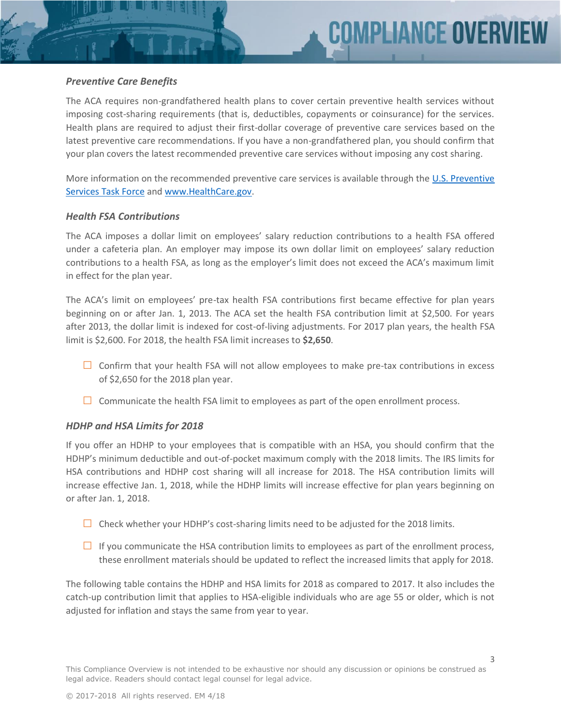#### *Preventive Care Benefits*

The ACA requires non-grandfathered health plans to cover certain preventive health services without imposing cost-sharing requirements (that is, deductibles, copayments or coinsurance) for the services. Health plans are required to adjust their first-dollar coverage of preventive care services based on the latest preventive care recommendations. If you have a non-grandfathered plan, you should confirm that your plan covers the latest recommended preventive care services without imposing any cost sharing.

More information on the recommended preventive care services is available through the [U.S. Preventive](http://www.uspreventiveservicestaskforce.org/Page/Name/uspstf-a-and-b-recommendations-by-date/)  [Services Task Force](http://www.uspreventiveservicestaskforce.org/Page/Name/uspstf-a-and-b-recommendations-by-date/) and [www.HealthCare.gov.](http://www.healthcare.gov/)

#### *Health FSA Contributions*

The ACA imposes a dollar limit on employees' salary reduction contributions to a health FSA offered under a cafeteria plan. An employer may impose its own dollar limit on employees' salary reduction contributions to a health FSA, as long as the employer's limit does not exceed the ACA's maximum limit in effect for the plan year.

The ACA's limit on employees' pre-tax health FSA contributions first became effective for plan years beginning on or after Jan. 1, 2013. The ACA set the health FSA contribution limit at \$2,500. For years after 2013, the dollar limit is indexed for cost-of-living adjustments. For 2017 plan years, the health FSA limit is \$2,600. For 2018, the health FSA limit increases to **\$2,650**.

- **□** Confirm that your health FSA will not allow employees to make pre-tax contributions in excess of \$2,650 for the 2018 plan year.
- **□** Communicate the health FSA limit to employees as part of the open enrollment process.

#### *HDHP and HSA Limits for 2018*

If you offer an HDHP to your employees that is compatible with an HSA, you should confirm that the HDHP's minimum deductible and out-of-pocket maximum comply with the 2018 limits. The IRS limits for HSA contributions and HDHP cost sharing will all increase for 2018. The HSA contribution limits will increase effective Jan. 1, 2018, while the HDHP limits will increase effective for plan years beginning on or after Jan. 1, 2018.

- **□** Check whether your HDHP's cost-sharing limits need to be adjusted for the 2018 limits.
- **□** If you communicate the HSA contribution limits to employees as part of the enrollment process, these enrollment materials should be updated to reflect the increased limits that apply for 2018.

The following table contains the HDHP and HSA limits for 2018 as compared to 2017. It also includes the catch-up contribution limit that applies to HSA-eligible individuals who are age 55 or older, which is not adjusted for inflation and stays the same from year to year.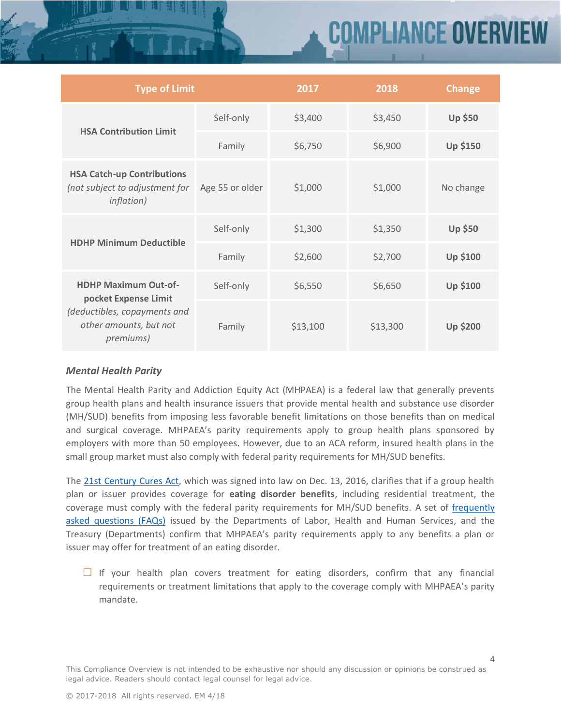# Compliance overvie

| <b>Type of Limit</b>                                                                                                       |                 | 2017     | 2018     | <b>Change</b>   |
|----------------------------------------------------------------------------------------------------------------------------|-----------------|----------|----------|-----------------|
| <b>HSA Contribution Limit</b>                                                                                              | Self-only       | \$3,400  | \$3,450  | <b>Up \$50</b>  |
|                                                                                                                            | Family          | \$6,750  | \$6,900  | <b>Up \$150</b> |
| <b>HSA Catch-up Contributions</b><br>(not subject to adjustment for<br><i>inflation</i> )                                  | Age 55 or older | \$1,000  | \$1,000  | No change       |
| <b>HDHP Minimum Deductible</b>                                                                                             | Self-only       | \$1,300  | \$1,350  | <b>Up \$50</b>  |
|                                                                                                                            | Family          | \$2,600  | \$2,700  | <b>Up \$100</b> |
| <b>HDHP Maximum Out-of-</b><br>pocket Expense Limit<br>(deductibles, copayments and<br>other amounts, but not<br>premiums) | Self-only       | \$6,550  | \$6,650  | <b>Up \$100</b> |
|                                                                                                                            | Family          | \$13,100 | \$13,300 | <b>Up \$200</b> |

#### *Mental Health Parity*

The Mental Health Parity and Addiction Equity Act (MHPAEA) is a federal law that generally prevents group health plans and health insurance issuers that provide mental health and substance use disorder (MH/SUD) benefits from imposing less favorable benefit limitations on those benefits than on medical and surgical coverage. MHPAEA's parity requirements apply to group health plans sponsored by employers with more than 50 employees. However, due to an ACA reform, insured health plans in the small group market must also comply with federal parity requirements for MH/SUD benefits.

The 21st [Century Cures Act,](https://www.congress.gov/bill/114th-congress/house-bill/34/text) which was signed into law on Dec. 13, 2016, clarifies that if a group health plan or issuer provides coverage for **eating disorder benefits**, including residential treatment, the coverage must comply with the federal parity requirements for MH/SUD benefits. A set of [frequently](https://www.dol.gov/sites/default/files/ebsa/about-ebsa/our-activities/resource-center/faqs/aca-part-38.pdf)  [asked questions \(FAQs\)](https://www.dol.gov/sites/default/files/ebsa/about-ebsa/our-activities/resource-center/faqs/aca-part-38.pdf) issued by the Departments of Labor, Health and Human Services, and the Treasury (Departments) confirm that MHPAEA's parity requirements apply to any benefits a plan or issuer may offer for treatment of an eating disorder.

**□** If your health plan covers treatment for eating disorders, confirm that any financial requirements or treatment limitations that apply to the coverage comply with MHPAEA's parity mandate.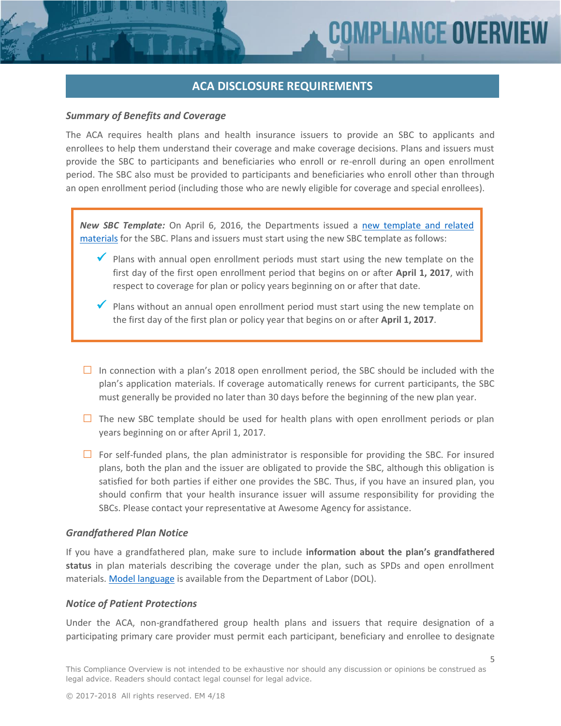5

#### **ACA DISCLOSURE REQUIREMENTS**

#### *Summary of Benefits and Coverage*

The ACA requires health plans and health insurance issuers to provide an SBC to applicants and enrollees to help them understand their coverage and make coverage decisions. Plans and issuers must provide the SBC to participants and beneficiaries who enroll or re-enroll during an open enrollment period. The SBC also must be provided to participants and beneficiaries who enroll other than through an open enrollment period (including those who are newly eligible for coverage and special enrollees).

*New SBC Template:* On April 6, 2016, the Departments issued a [new template and related](https://www.dol.gov/ebsa/healthreform/regulations/summaryofbenefits.html)  [materials](https://www.dol.gov/ebsa/healthreform/regulations/summaryofbenefits.html) for the SBC. Plans and issuers must start using the new SBC template as follows:

- $\checkmark$  Plans with annual open enrollment periods must start using the new template on the first day of the first open enrollment period that begins on or after **April 1, 2017**, with respect to coverage for plan or policy years beginning on or after that date.
- $\checkmark$  Plans without an annual open enrollment period must start using the new template on the first day of the first plan or policy year that begins on or after **April 1, 2017**.
- **□** In connection with a plan's 2018 open enrollment period, the SBC should be included with the plan's application materials. If coverage automatically renews for current participants, the SBC must generally be provided no later than 30 days before the beginning of the new plan year.
- □ The new SBC template should be used for health plans with open enrollment periods or plan years beginning on or after April 1, 2017.
- **□** For self-funded plans, the plan administrator is responsible for providing the SBC. For insured plans, both the plan and the issuer are obligated to provide the SBC, although this obligation is satisfied for both parties if either one provides the SBC. Thus, if you have an insured plan, you should confirm that your health insurance issuer will assume responsibility for providing the SBCs. Please contact your representative at Awesome Agency for assistance.

#### *Grandfathered Plan Notice*

If you have a grandfathered plan, make sure to include **information about the plan's grandfathered status** in plan materials describing the coverage under the plan, such as SPDs and open enrollment materials. [Model language](http://www.dol.gov/ebsa/grandfatherregmodelnotice.doc) is available from the Department of Labor (DOL).

#### *Notice of Patient Protections*

Under the ACA, non-grandfathered group health plans and issuers that require designation of a participating primary care provider must permit each participant, beneficiary and enrollee to designate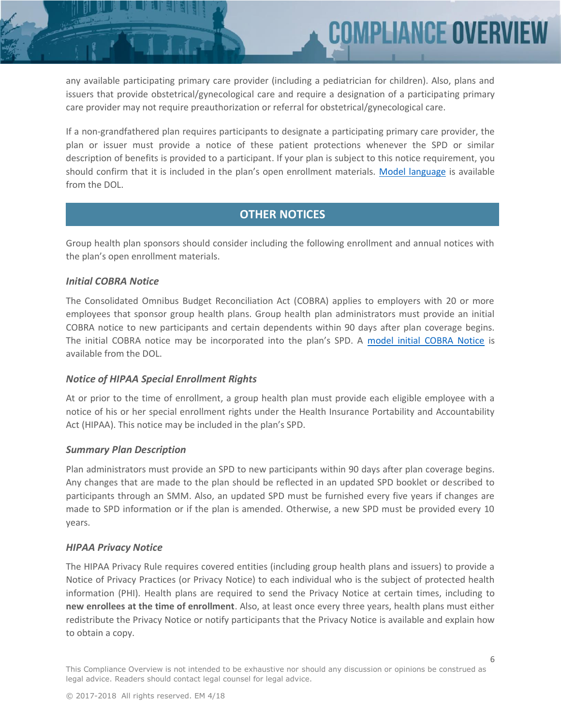**COMPLIANCE OVERV** 

any available participating primary care provider (including a pediatrician for children). Also, plans and issuers that provide obstetrical/gynecological care and require a designation of a participating primary care provider may not require preauthorization or referral for obstetrical/gynecological care.

If a non-grandfathered plan requires participants to designate a participating primary care provider, the plan or issuer must provide a notice of these patient protections whenever the SPD or similar description of benefits is provided to a participant. If your plan is subject to this notice requirement, you should confirm that it is included in the plan's open enrollment materials. [Model language](http://www.dol.gov/ebsa/patientprotectionmodelnotice.doc) is available from the DOL.

#### **OTHER NOTICES**

Group health plan sponsors should consider including the following enrollment and annual notices with the plan's open enrollment materials.

#### *Initial COBRA Notice*

The Consolidated Omnibus Budget Reconciliation Act (COBRA) applies to employers with 20 or more employees that sponsor group health plans. Group health plan administrators must provide an initial COBRA notice to new participants and certain dependents within 90 days after plan coverage begins. The initial COBRA notice may be incorporated into the plan's SPD. A [model initial COBRA Notice](http://www.dol.gov/ebsa/modelgeneralnotice.doc) is available from the DOL.

#### *Notice of HIPAA Special Enrollment Rights*

At or prior to the time of enrollment, a group health plan must provide each eligible employee with a notice of his or her special enrollment rights under the Health Insurance Portability and Accountability Act (HIPAA). This notice may be included in the plan's SPD.

#### *Summary Plan Description*

Plan administrators must provide an SPD to new participants within 90 days after plan coverage begins. Any changes that are made to the plan should be reflected in an updated SPD booklet or described to participants through an SMM. Also, an updated SPD must be furnished every five years if changes are made to SPD information or if the plan is amended. Otherwise, a new SPD must be provided every 10 years.

#### *HIPAA Privacy Notice*

The HIPAA Privacy Rule requires covered entities (including group health plans and issuers) to provide a Notice of Privacy Practices (or Privacy Notice) to each individual who is the subject of protected health information (PHI). Health plans are required to send the Privacy Notice at certain times, including to **new enrollees at the time of enrollment**. Also, at least once every three years, health plans must either redistribute the Privacy Notice or notify participants that the Privacy Notice is available and explain how to obtain a copy.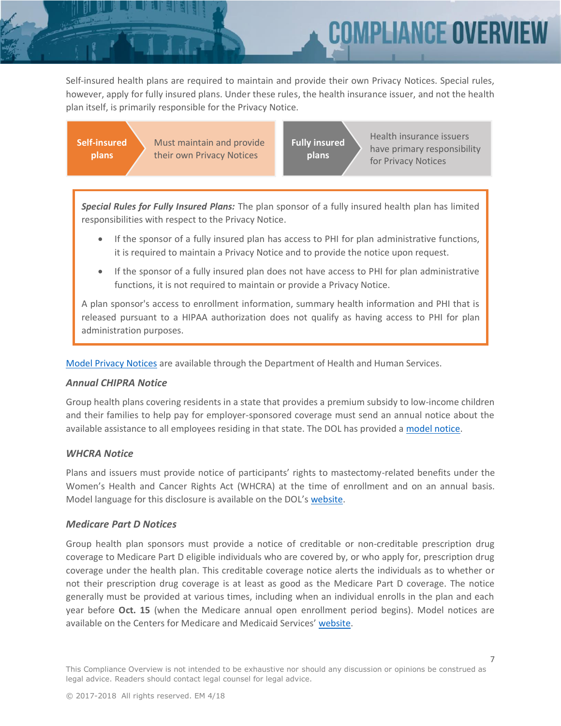Compliance overv

Self-insured health plans are required to maintain and provide their own Privacy Notices. Special rules, however, apply for fully insured plans. Under these rules, the health insurance issuer, and not the health plan itself, is primarily responsible for the Privacy Notice.

**Self-insured plans**

Must maintain and provide their own Privacy Notices

**Fully insured plans**

Health insurance issuers have primary responsibility for Privacy Notices

*Special Rules for Fully Insured Plans:* The plan sponsor of a fully insured health plan has limited responsibilities with respect to the Privacy Notice.

- If the sponsor of a fully insured plan has access to PHI for plan administrative functions, it is required to maintain a Privacy Notice and to provide the notice upon request.
- If the sponsor of a fully insured plan does not have access to PHI for plan administrative functions, it is not required to maintain or provide a Privacy Notice.

A plan sponsor's access to enrollment information, summary health information and PHI that is released pursuant to a HIPAA authorization does not qualify as having access to PHI for plan administration purposes.

[Model Privacy Notices](http://www.hhs.gov/hipaa/for-professionals/privacy/guidance/model-notices-privacy-practices/) are available through the Department of Health and Human Services.

#### *Annual CHIPRA Notice*

Group health plans covering residents in a state that provides a premium subsidy to low-income children and their families to help pay for employer-sponsored coverage must send an annual notice about the available assistance to all employees residing in that state. The DOL has provided a [model notice.](http://www.dol.gov/ebsa/pdf/chipmodelnotice.pdf)

#### *WHCRA Notice*

Plans and issuers must provide notice of participants' rights to mastectomy-related benefits under the Women's Health and Cancer Rights Act (WHCRA) at the time of enrollment and on an annual basis. Model language for this disclosure is available on the DOL's [website.](https://www.dol.gov/ebsa/pdf/CAG-healthbenefitscoverageunderFederallaw.pdf#page=103)

#### *Medicare Part D Notices*

Group health plan sponsors must provide a notice of creditable or non-creditable prescription drug coverage to Medicare Part D eligible individuals who are covered by, or who apply for, prescription drug coverage under the health plan. This creditable coverage notice alerts the individuals as to whether or not their prescription drug coverage is at least as good as the Medicare Part D coverage. The notice generally must be provided at various times, including when an individual enrolls in the plan and each year before **Oct. 15** (when the Medicare annual open enrollment period begins). Model notices are available on the Centers for Medicare and Medicaid Services' [website.](https://www.cms.gov/Medicare/Prescription-Drug-Coverage/CreditableCoverage/Model-Notice-Letters.html)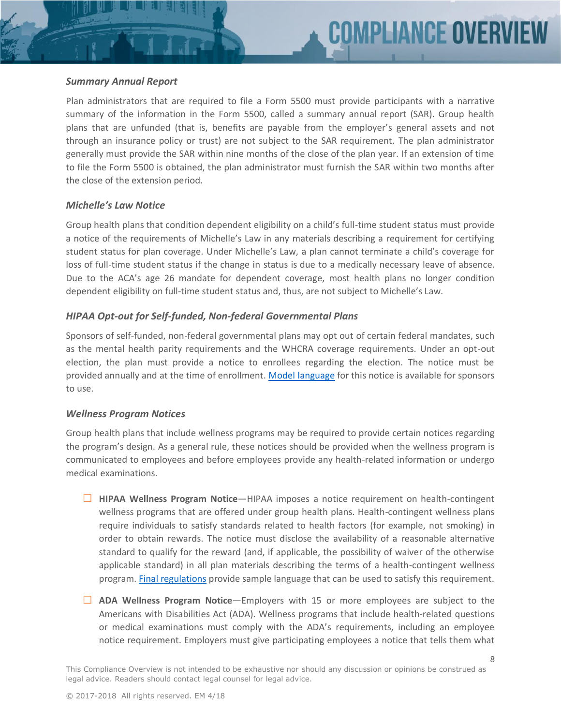#### *Summary Annual Report*

Plan administrators that are required to file a Form 5500 must provide participants with a narrative summary of the information in the Form 5500, called a summary annual report (SAR). Group health plans that are unfunded (that is, benefits are payable from the employer's general assets and not through an insurance policy or trust) are not subject to the SAR requirement. The plan administrator generally must provide the SAR within nine months of the close of the plan year. If an extension of time to file the Form 5500 is obtained, the plan administrator must furnish the SAR within two months after the close of the extension period.

#### *Michelle's Law Notice*

Group health plans that condition dependent eligibility on a child's full-time student status must provide a notice of the requirements of Michelle's Law in any materials describing a requirement for certifying student status for plan coverage. Under Michelle's Law, a plan cannot terminate a child's coverage for loss of full-time student status if the change in status is due to a medically necessary leave of absence. Due to the ACA's age 26 mandate for dependent coverage, most health plans no longer condition dependent eligibility on full-time student status and, thus, are not subject to Michelle's Law.

#### *HIPAA Opt-out for Self-funded, Non-federal Governmental Plans*

Sponsors of self-funded, non-federal governmental plans may opt out of certain federal mandates, such as the mental health parity requirements and the WHCRA coverage requirements. Under an opt-out election, the plan must provide a notice to enrollees regarding the election. The notice must be provided annually and at the time of enrollment. [Model language](http://www.cms.gov/CCIIO/Resources/Files/Downloads/model_enrollee_notice_04072011.pdf) for this notice is available for sponsors to use.

#### *Wellness Program Notices*

Group health plans that include wellness programs may be required to provide certain notices regarding the program's design. As a general rule, these notices should be provided when the wellness program is communicated to employees and before employees provide any health-related information or undergo medical examinations.

- **□ HIPAA Wellness Program Notice**—HIPAA imposes a notice requirement on health-contingent wellness programs that are offered under group health plans. Health-contingent wellness plans require individuals to satisfy standards related to health factors (for example, not smoking) in order to obtain rewards. The notice must disclose the availability of a reasonable alternative standard to qualify for the reward (and, if applicable, the possibility of waiver of the otherwise applicable standard) in all plan materials describing the terms of a health-contingent wellness program. [Final regulations](https://www.federalregister.gov/articles/2013/06/03/2013-12916/incentives-for-nondiscriminatory-wellness-programs-in-group-health-plans) provide sample language that can be used to satisfy this requirement.
- **□ ADA Wellness Program Notice**—Employers with 15 or more employees are subject to the Americans with Disabilities Act (ADA). Wellness programs that include health-related questions or medical examinations must comply with the ADA's requirements, including an employee notice requirement. Employers must give participating employees a notice that tells them what